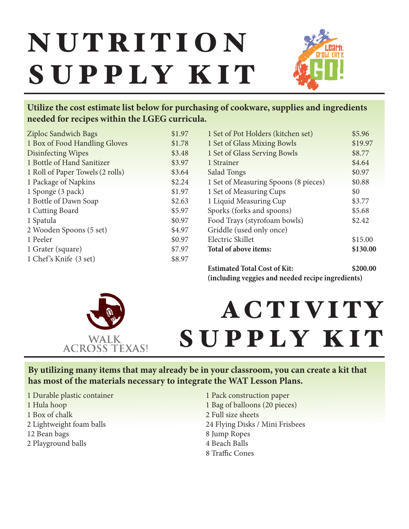# **NUTRITION** S U P P L Y K I T



## **Utilize the cost estimate list below for purchasing of cookware, supplies and ingredients needed for recipes within the LGEG curricula.**

| <b>Ziploc Sandwich Bags</b>      | \$1.97 |
|----------------------------------|--------|
| 1 Box of Food Handling Gloves    | \$1.78 |
| <b>Disinfecting Wipes</b>        | \$3.48 |
| 1 Bottle of Hand Sanitizer       | \$3.97 |
| 1 Roll of Paper Towels (2 rolls) | \$3.64 |
| 1 Package of Napkins             | \$2.24 |
| 1 Sponge (3 pack)                | \$1.97 |
| 1 Bottle of Dawn Soap            | \$2.63 |
| 1 Cutting Board                  | \$5.97 |
| 1 Spatula                        | \$0.97 |
| 2 Wooden Spoons (5 set)          | \$4.97 |
| 1 Peeler                         | \$0.97 |
| 1 Grater (square)                | \$7.97 |
| 1 Chef's Knife (3 set)           | \$8.97 |
|                                  |        |

| <b>Estimated Total Cost of Kit:</b>  | \$200.00 |
|--------------------------------------|----------|
| Total of above items:                | \$130.00 |
| Electric Skillet                     | \$15.00  |
| Griddle (used only once)             |          |
| Food Trays (styrofoam bowls)         | \$2.42   |
| Sporks (forks and spoons)            | \$5.68   |
| 1 Liquid Measuring Cup               | \$3.77   |
| 1 Set of Measuring Cups              | \$0      |
| 1 Set of Measuring Spoons (8 pieces) | \$0.88   |
| Salad Tongs                          | \$0.97   |
| 1 Strainer                           | \$4.64   |
| 1 Set of Glass Serving Bowls         | \$8.77   |
| 1 Set of Glass Mixing Bowls          | \$19.97  |
| 1 Set of Pot Holders (kitchen set)   | \$5.96   |
|                                      |          |

**(including veggies and needed recipe ingredients)**



## A C T I V I T Y SUPPLY KIT

**By utilizing many items that may already be in your classroom, you can create a kit that has most of the materials necessary to integrate the WAT Lesson Plans.**

- 1 Durable plastic container
- 1 Hula hoop
- 1 Box of chalk
- 2 Lightweight foam balls
- 12 Bean bags
- 2 Playground balls

1 Pack construction paper 1 Bag of balloons (20 pieces) 2 Full size sheets 24 Flying Disks / Mini Frisbees 8 Jump Ropes 4 Beach Balls 8 Traffic Cones